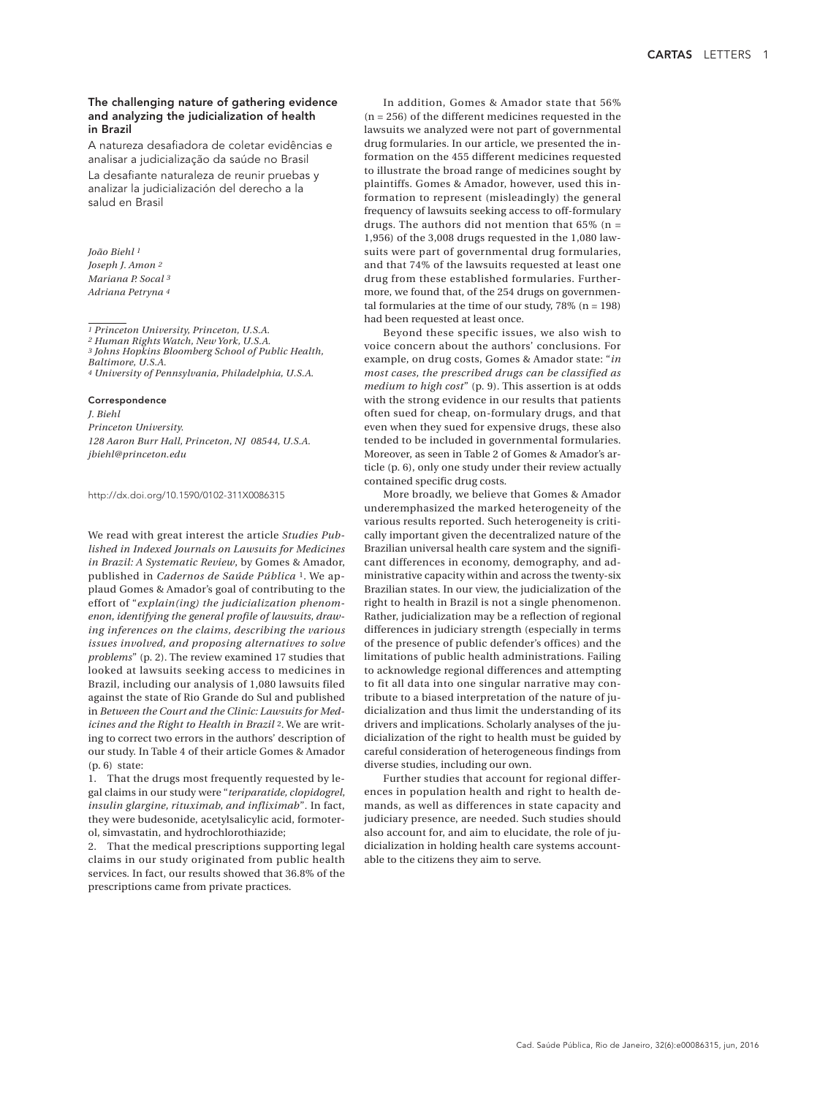# The challenging nature of gathering evidence and analyzing the judicialization of health in Brazil

A natureza desafiadora de coletar evidências e analisar a judicialização da saúde no Brasil La desafiante naturaleza de reunir pruebas y analizar la judicialización del derecho a la salud en Brasil

*João Biehl 1 Joseph J. Amon 2 Mariana P. Socal 3 Adriana Petryna 4*

*1 Princeton University, Princeton, U.S.A.*

*2 Human Rights Watch, New York, U.S.A. 3 Johns Hopkins Bloomberg School of Public Health,* 

*Baltimore, U.S.A.*

*4 University of Pennsylvania, Philadelphia, U.S.A.*

#### Correspondence

*J. Biehl Princeton University. 128 Aaron Burr Hall, Princeton, NJ 08544, U.S.A. jbiehl@princeton.edu*

http://dx.doi.org/10.1590/0102-311X0086315

We read with great interest the article *Studies Published in Indexed Journals on Lawsuits for Medicines in Brazil: A Systematic Review*, by Gomes & Amador, published in *Cadernos de Saúde Pública* 1. We applaud Gomes & Amador's goal of contributing to the effort of "*explain(ing) the judicialization phenomenon, identifying the general profile of lawsuits, drawing inferences on the claims, describing the various issues involved, and proposing alternatives to solve problems*" (p. 2). The review examined 17 studies that looked at lawsuits seeking access to medicines in Brazil, including our analysis of 1,080 lawsuits filed against the state of Rio Grande do Sul and published in *Between the Court and the Clinic: Lawsuits for Medicines and the Right to Health in Brazil* 2. We are writing to correct two errors in the authors' description of our study. In Table 4 of their article Gomes & Amador (p. 6) state:

1. That the drugs most frequently requested by legal claims in our study were "*teriparatide, clopidogrel, insulin glargine, rituximab, and infliximab*"*.* In fact, they were budesonide, acetylsalicylic acid, formoterol, simvastatin, and hydrochlorothiazide;

2. That the medical prescriptions supporting legal claims in our study originated from public health services. In fact, our results showed that 36.8% of the prescriptions came from private practices.

In addition, Gomes & Amador state that 56%  $(n = 256)$  of the different medicines requested in the lawsuits we analyzed were not part of governmental drug formularies. In our article, we presented the information on the 455 different medicines requested to illustrate the broad range of medicines sought by plaintiffs. Gomes & Amador, however, used this information to represent (misleadingly) the general frequency of lawsuits seeking access to off-formulary drugs. The authors did not mention that  $65\%$  (n = 1,956) of the 3,008 drugs requested in the 1,080 lawsuits were part of governmental drug formularies, and that 74% of the lawsuits requested at least one drug from these established formularies. Furthermore, we found that, of the 254 drugs on governmental formularies at the time of our study,  $78\%$  (n = 198) had been requested at least once.

Beyond these specific issues, we also wish to voice concern about the authors' conclusions. For example, on drug costs, Gomes & Amador state: "*in most cases, the prescribed drugs can be classified as medium to high cost*" (p. 9). This assertion is at odds with the strong evidence in our results that patients often sued for cheap, on-formulary drugs, and that even when they sued for expensive drugs, these also tended to be included in governmental formularies. Moreover, as seen in Table 2 of Gomes & Amador's article (p. 6), only one study under their review actually contained specific drug costs.

More broadly, we believe that Gomes & Amador underemphasized the marked heterogeneity of the various results reported. Such heterogeneity is critically important given the decentralized nature of the Brazilian universal health care system and the significant differences in economy, demography, and administrative capacity within and across the twenty-six Brazilian states. In our view, the judicialization of the right to health in Brazil is not a single phenomenon. Rather, judicialization may be a reflection of regional differences in judiciary strength (especially in terms of the presence of public defender's offices) and the limitations of public health administrations. Failing to acknowledge regional differences and attempting to fit all data into one singular narrative may contribute to a biased interpretation of the nature of judicialization and thus limit the understanding of its drivers and implications. Scholarly analyses of the judicialization of the right to health must be guided by careful consideration of heterogeneous findings from diverse studies, including our own.

Further studies that account for regional differences in population health and right to health demands, as well as differences in state capacity and judiciary presence, are needed. Such studies should also account for, and aim to elucidate, the role of judicialization in holding health care systems accountable to the citizens they aim to serve.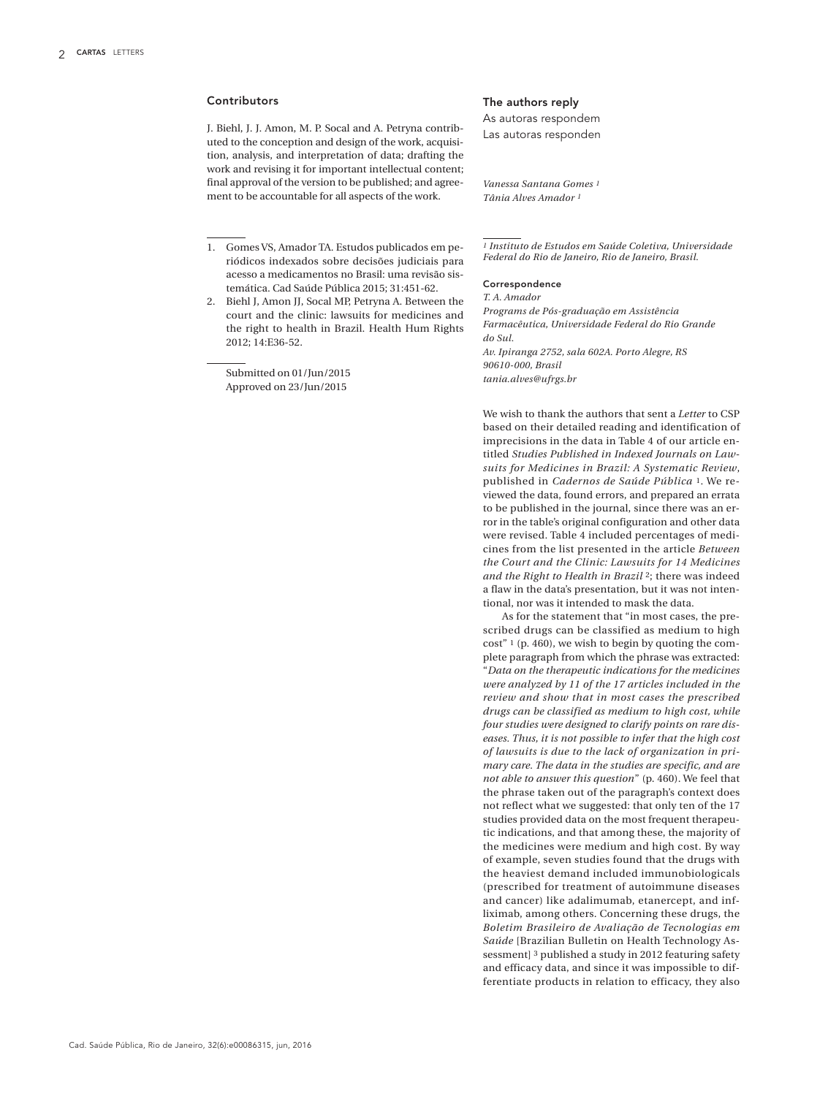## Contributors

J. Biehl, J. J. Amon, M. P. Socal and A. Petryna contributed to the conception and design of the work, acquisition, analysis, and interpretation of data; drafting the work and revising it for important intellectual content; final approval of the version to be published; and agreement to be accountable for all aspects of the work.

1. Gomes VS, Amador TA. Estudos publicados em periódicos indexados sobre decisões judiciais para acesso a medicamentos no Brasil: uma revisão sistemática. Cad Saúde Pública 2015; 31:451-62.

2. Biehl J, Amon JJ, Socal MP, Petryna A. Between the court and the clinic: lawsuits for medicines and the right to health in Brazil. Health Hum Rights 2012; 14:E36-52.

Submitted on 01/Jun/2015 Approved on 23/Jun/2015

### The authors reply

As autoras respondem Las autoras responden

*Vanessa Santana Gomes 1 Tânia Alves Amador 1*

*1 Instituto de Estudos em Saúde Coletiva, Universidade Federal do Rio de Janeiro, Rio de Janeiro, Brasil.*

#### Correspondence

*T. A. Amador Programs de Pós-graduação em Assistência Farmacêutica, Universidade Federal do Rio Grande do Sul. Av. Ipiranga 2752, sala 602A. Porto Alegre, RS 90610-000, Brasil tania.alves@ufrgs.br*

We wish to thank the authors that sent a *Letter* to CSP based on their detailed reading and identification of imprecisions in the data in Table 4 of our article entitled *Studies Published in Indexed Journals on Lawsuits for Medicines in Brazil: A Systematic Review*, published in *Cadernos de Saúde Pública* 1. We reviewed the data, found errors, and prepared an errata to be published in the journal, since there was an error in the table's original configuration and other data were revised. Table 4 included percentages of medicines from the list presented in the article *Between the Court and the Clinic: Lawsuits for 14 Medicines and the Right to Health in Brazil* 2; there was indeed a flaw in the data's presentation, but it was not intentional, nor was it intended to mask the data.

As for the statement that "in most cases, the prescribed drugs can be classified as medium to high cost" 1 (p. 460), we wish to begin by quoting the complete paragraph from which the phrase was extracted: "*Data on the therapeutic indications for the medicines were analyzed by 11 of the 17 articles included in the review and show that in most cases the prescribed drugs can be classified as medium to high cost, while four studies were designed to clarify points on rare diseases. Thus, it is not possible to infer that the high cost of lawsuits is due to the lack of organization in primary care. The data in the studies are specific, and are not able to answer this question*" (p. 460). We feel that the phrase taken out of the paragraph's context does not reflect what we suggested: that only ten of the 17 studies provided data on the most frequent therapeutic indications, and that among these, the majority of the medicines were medium and high cost. By way of example, seven studies found that the drugs with the heaviest demand included immunobiologicals (prescribed for treatment of autoimmune diseases and cancer) like adalimumab, etanercept, and infliximab, among others. Concerning these drugs, the *Boletim Brasileiro de Avaliação de Tecnologias em Saúde* [Brazilian Bulletin on Health Technology Assessment]<sup>3</sup> published a study in 2012 featuring safety and efficacy data, and since it was impossible to differentiate products in relation to efficacy, they also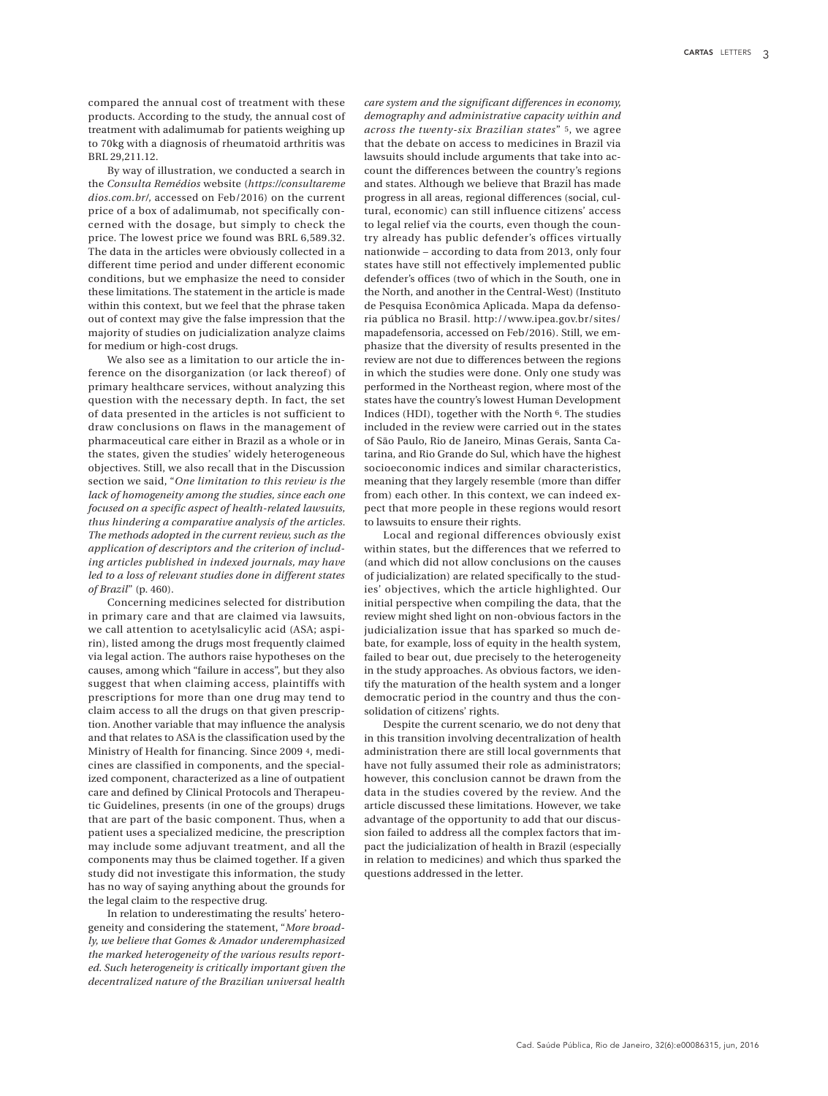compared the annual cost of treatment with these products. According to the study, the annual cost of treatment with adalimumab for patients weighing up to 70kg with a diagnosis of rheumatoid arthritis was BRL 29,211.12.

By way of illustration, we conducted a search in the *Consulta Remédios* website (*https://consultareme dios.com.br/,* accessed on Feb/2016) on the current price of a box of adalimumab, not specifically concerned with the dosage, but simply to check the price. The lowest price we found was BRL 6,589.32. The data in the articles were obviously collected in a different time period and under different economic conditions, but we emphasize the need to consider these limitations. The statement in the article is made within this context, but we feel that the phrase taken out of context may give the false impression that the majority of studies on judicialization analyze claims for medium or high-cost drugs.

We also see as a limitation to our article the inference on the disorganization (or lack thereof) of primary healthcare services, without analyzing this question with the necessary depth. In fact, the set of data presented in the articles is not sufficient to draw conclusions on flaws in the management of pharmaceutical care either in Brazil as a whole or in the states, given the studies' widely heterogeneous objectives. Still, we also recall that in the Discussion section we said, "*One limitation to this review is the lack of homogeneity among the studies, since each one focused on a specific aspect of health-related lawsuits, thus hindering a comparative analysis of the articles. The methods adopted in the current review, such as the application of descriptors and the criterion of including articles published in indexed journals, may have led to a loss of relevant studies done in different states of Brazil*" (p. 460).

Concerning medicines selected for distribution in primary care and that are claimed via lawsuits, we call attention to acetylsalicylic acid (ASA; aspirin), listed among the drugs most frequently claimed via legal action. The authors raise hypotheses on the causes, among which "failure in access", but they also suggest that when claiming access, plaintiffs with prescriptions for more than one drug may tend to claim access to all the drugs on that given prescription. Another variable that may influence the analysis and that relates to ASA is the classification used by the Ministry of Health for financing. Since 2009 4, medicines are classified in components, and the specialized component, characterized as a line of outpatient care and defined by Clinical Protocols and Therapeutic Guidelines, presents (in one of the groups) drugs that are part of the basic component. Thus, when a patient uses a specialized medicine, the prescription may include some adjuvant treatment, and all the components may thus be claimed together. If a given study did not investigate this information, the study has no way of saying anything about the grounds for the legal claim to the respective drug.

In relation to underestimating the results' heterogeneity and considering the statement, "*More broadly, we believe that Gomes & Amador underemphasized the marked heterogeneity of the various results reported. Such heterogeneity is critically important given the decentralized nature of the Brazilian universal health* 

*care system and the significant differences in economy, demography and administrative capacity within and across the twenty-six Brazilian states*" 5, we agree that the debate on access to medicines in Brazil via lawsuits should include arguments that take into account the differences between the country's regions and states. Although we believe that Brazil has made progress in all areas, regional differences (social, cultural, economic) can still influence citizens' access to legal relief via the courts, even though the country already has public defender's offices virtually nationwide – according to data from 2013, only four states have still not effectively implemented public defender's offices (two of which in the South, one in the North, and another in the Central-West) (Instituto de Pesquisa Econômica Aplicada. Mapa da defensoria pública no Brasil. http://www.ipea.gov.br/sites/ mapadefensoria, accessed on Feb/2016). Still, we emphasize that the diversity of results presented in the review are not due to differences between the regions in which the studies were done. Only one study was performed in the Northeast region, where most of the states have the country's lowest Human Development Indices (HDI), together with the North 6. The studies included in the review were carried out in the states of São Paulo, Rio de Janeiro, Minas Gerais, Santa Catarina, and Rio Grande do Sul, which have the highest socioeconomic indices and similar characteristics, meaning that they largely resemble (more than differ from) each other. In this context, we can indeed expect that more people in these regions would resort to lawsuits to ensure their rights.

Local and regional differences obviously exist within states, but the differences that we referred to (and which did not allow conclusions on the causes of judicialization) are related specifically to the studies' objectives, which the article highlighted. Our initial perspective when compiling the data, that the review might shed light on non-obvious factors in the judicialization issue that has sparked so much debate, for example, loss of equity in the health system, failed to bear out, due precisely to the heterogeneity in the study approaches. As obvious factors, we identify the maturation of the health system and a longer democratic period in the country and thus the consolidation of citizens' rights.

Despite the current scenario, we do not deny that in this transition involving decentralization of health administration there are still local governments that have not fully assumed their role as administrators; however, this conclusion cannot be drawn from the data in the studies covered by the review. And the article discussed these limitations. However, we take advantage of the opportunity to add that our discussion failed to address all the complex factors that impact the judicialization of health in Brazil (especially in relation to medicines) and which thus sparked the questions addressed in the letter.